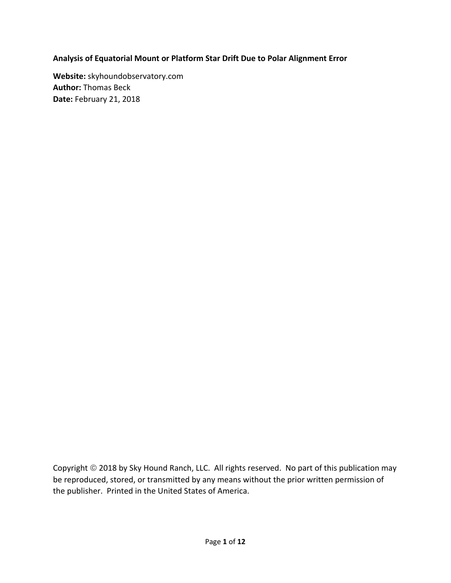#### **Analysis of Equatorial Mount or Platform Star Drift Due to Polar Alignment Error**

**Website:** skyhoundobservatory.com **Author:** Thomas Beck **Date:** February 21, 2018

Copyright 2018 by Sky Hound Ranch, LLC. All rights reserved. No part of this publication may be reproduced, stored, or transmitted by any means without the prior written permission of the publisher. Printed in the United States of America.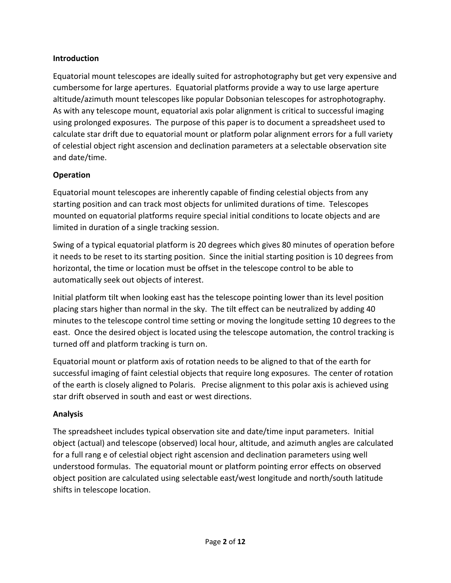#### **Introduction**

Equatorial mount telescopes are ideally suited for astrophotography but get very expensive and cumbersome for large apertures. Equatorial platforms provide a way to use large aperture altitude/azimuth mount telescopes like popular Dobsonian telescopes for astrophotography. As with any telescope mount, equatorial axis polar alignment is critical to successful imaging using prolonged exposures. The purpose of this paper is to document a spreadsheet used to calculate star drift due to equatorial mount or platform polar alignment errors for a full variety of celestial object right ascension and declination parameters at a selectable observation site and date/time.

## **Operation**

Equatorial mount telescopes are inherently capable of finding celestial objects from any starting position and can track most objects for unlimited durations of time. Telescopes mounted on equatorial platforms require special initial conditions to locate objects and are limited in duration of a single tracking session.

Swing of a typical equatorial platform is 20 degrees which gives 80 minutes of operation before it needs to be reset to its starting position. Since the initial starting position is 10 degrees from horizontal, the time or location must be offset in the telescope control to be able to automatically seek out objects of interest.

Initial platform tilt when looking east has the telescope pointing lower than its level position placing stars higher than normal in the sky. The tilt effect can be neutralized by adding 40 minutes to the telescope control time setting or moving the longitude setting 10 degrees to the east. Once the desired object is located using the telescope automation, the control tracking is turned off and platform tracking is turn on.

Equatorial mount or platform axis of rotation needs to be aligned to that of the earth for successful imaging of faint celestial objects that require long exposures. The center of rotation of the earth is closely aligned to Polaris. Precise alignment to this polar axis is achieved using star drift observed in south and east or west directions.

## **Analysis**

The spreadsheet includes typical observation site and date/time input parameters. Initial object (actual) and telescope (observed) local hour, altitude, and azimuth angles are calculated for a full rang e of celestial object right ascension and declination parameters using well understood formulas. The equatorial mount or platform pointing error effects on observed object position are calculated using selectable east/west longitude and north/south latitude shifts in telescope location.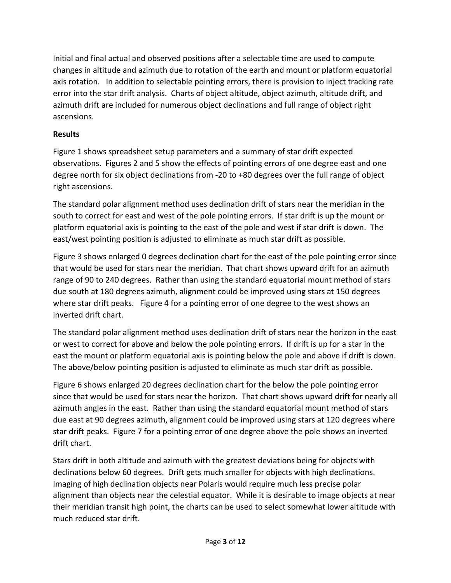Initial and final actual and observed positions after a selectable time are used to compute changes in altitude and azimuth due to rotation of the earth and mount or platform equatorial axis rotation. In addition to selectable pointing errors, there is provision to inject tracking rate error into the star drift analysis. Charts of object altitude, object azimuth, altitude drift, and azimuth drift are included for numerous object declinations and full range of object right ascensions.

# **Results**

Figure 1 shows spreadsheet setup parameters and a summary of star drift expected observations. Figures 2 and 5 show the effects of pointing errors of one degree east and one degree north for six object declinations from ‐20 to +80 degrees over the full range of object right ascensions.

The standard polar alignment method uses declination drift of stars near the meridian in the south to correct for east and west of the pole pointing errors. If star drift is up the mount or platform equatorial axis is pointing to the east of the pole and west if star drift is down. The east/west pointing position is adjusted to eliminate as much star drift as possible.

Figure 3 shows enlarged 0 degrees declination chart for the east of the pole pointing error since that would be used for stars near the meridian. That chart shows upward drift for an azimuth range of 90 to 240 degrees. Rather than using the standard equatorial mount method of stars due south at 180 degrees azimuth, alignment could be improved using stars at 150 degrees where star drift peaks. Figure 4 for a pointing error of one degree to the west shows an inverted drift chart.

The standard polar alignment method uses declination drift of stars near the horizon in the east or west to correct for above and below the pole pointing errors. If drift is up for a star in the east the mount or platform equatorial axis is pointing below the pole and above if drift is down. The above/below pointing position is adjusted to eliminate as much star drift as possible.

Figure 6 shows enlarged 20 degrees declination chart for the below the pole pointing error since that would be used for stars near the horizon. That chart shows upward drift for nearly all azimuth angles in the east. Rather than using the standard equatorial mount method of stars due east at 90 degrees azimuth, alignment could be improved using stars at 120 degrees where star drift peaks. Figure 7 for a pointing error of one degree above the pole shows an inverted drift chart.

Stars drift in both altitude and azimuth with the greatest deviations being for objects with declinations below 60 degrees. Drift gets much smaller for objects with high declinations. Imaging of high declination objects near Polaris would require much less precise polar alignment than objects near the celestial equator. While it is desirable to image objects at near their meridian transit high point, the charts can be used to select somewhat lower altitude with much reduced star drift.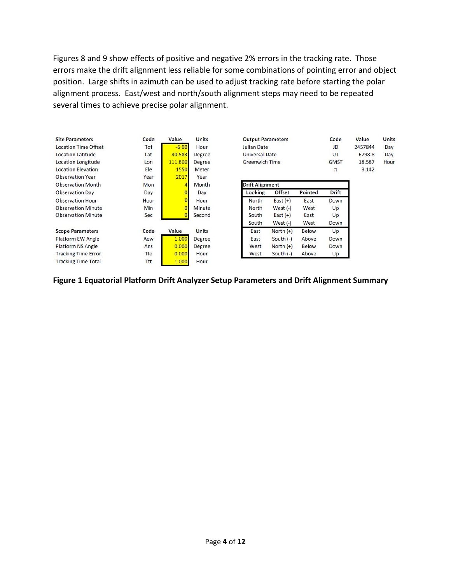Figures 8 and 9 show effects of positive and negative 2% errors in the tracking rate. Those errors make the drift alignment less reliable for some combinations of pointing error and object position. Large shifts in azimuth can be used to adjust tracking rate before starting the polar alignment process. East/west and north/south alignment steps may need to be repeated several times to achieve precise polar alignment.

| <b>Site Parameters</b>      | Code       | Value   | <b>Units</b>  | <b>Output Parameters</b> |               | Code         | Value        | Units |  |
|-----------------------------|------------|---------|---------------|--------------------------|---------------|--------------|--------------|-------|--|
| <b>Location Time Offset</b> | Tof        | $-6.00$ | Hour          | <b>Julian Date</b>       |               | JD           | 2457844      | Day   |  |
| <b>Location Latitude</b>    | Lat        | 40.583  | Degree        | <b>Universal Date</b>    |               | UT           | 6298.8       | Day   |  |
| <b>Location Longitude</b>   | Lon        | 111.800 | Degree        | <b>Greenwich Time</b>    |               | <b>GMST</b>  | 18.587       | Hour  |  |
| <b>Location Elevation</b>   | Ele        | 1550    | Meter         |                          |               |              | π            | 3.142 |  |
| <b>Observation Year</b>     | Year       | 2017    | Year          |                          |               |              |              |       |  |
| <b>Observation Month</b>    | <b>Mon</b> |         | Month         | <b>Drift Alignment</b>   |               |              |              |       |  |
| <b>Observation Day</b>      | Day        |         | Day           | Looking                  | <b>Offset</b> | Pointed      | <b>Drift</b> |       |  |
| <b>Observation Hour</b>     | Hour       |         | Hour          | <b>North</b>             | East $(+)$    | East         | Down         |       |  |
| <b>Observation Minute</b>   | Min        |         | Minute        | <b>North</b>             | West $(-)$    | West         | Up           |       |  |
| <b>Observation Minute</b>   | Sec        |         | Second        | South                    | East $(+)$    | East         | Up           |       |  |
|                             |            |         |               | South                    | West $(-)$    | West         | Down         |       |  |
| <b>Scope Parameters</b>     | Code       | Value   | <b>Units</b>  | East                     | North $(+)$   | <b>Below</b> | Up           |       |  |
| <b>Platform EW Angle</b>    | Aew        | 1.000   | Degree        | East                     | South $(-)$   | Above        | Down         |       |  |
| <b>Platform NS Angle</b>    | Ans        | 0.000   | <b>Degree</b> | West                     | North $(+)$   | <b>Below</b> | Down         |       |  |
| <b>Tracking Time Error</b>  | Tte        | 0.000   | Hour          | West                     | South $(-)$   | Above        | Up           |       |  |
| <b>Tracking Time Total</b>  | Ttt        | 1.000   | Hour          |                          |               |              |              |       |  |

**Figure 1 Equatorial Platform Drift Analyzer Setup Parameters and Drift Alignment Summary**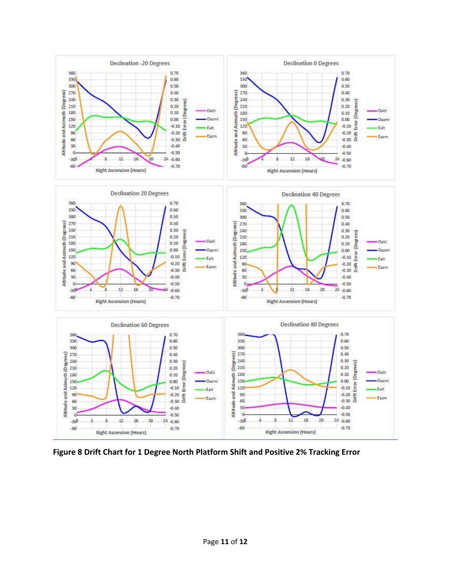

**Figure 8 Drift Chart for 1 Degree North Platform Shift and Positive 2% Tracking Error**